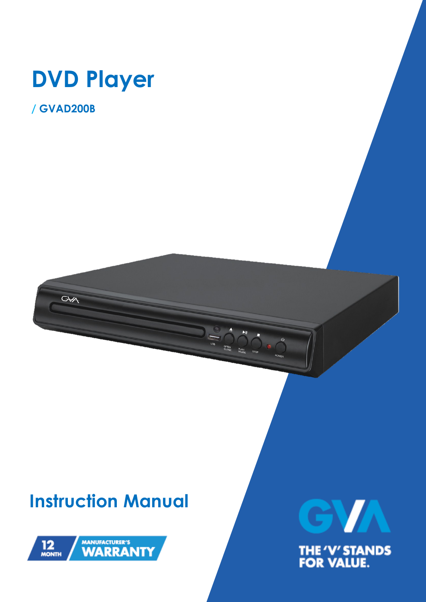

**/ GVAD200B** 

GAA

# **Instruction Manual**



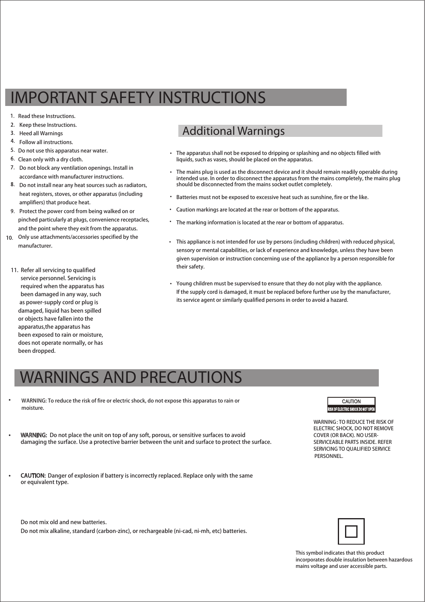# IMPORTANT SAFETY INSTRUCTIONS

- 1. Read these Instructions.
- 2. Keep these Instructions.
- 3. Heed all Warnings
- 4. Follow all instructions.
- 5. Do not use this apparatus near water.
- 6. Clean only with a dry cloth.
- Do not block any ventilation openings. Install in accordance with manufacturer instructions.
- Do not install near any heat sources such as radiators, heat registers, stoves, or other apparatus (including amplifiers) that produce heat.
- Protect the power cord from being walked on or pinched particularly at plugs, convenience receptacles, and the point where they exit from the apparatus.
- 10. Only use attachments/accessories specified by the manufacturer.
	- 11. Refer all servicing to qualified service personnel. Servicing is required when the apparatus has been damaged in any way, such as power-supply cord or plug is damaged, liquid has been spilled or objects have fallen into the apparatus,the apparatus has been exposed to rain or moisture, does not operate normally, or has been dropped.

**•** 

### Additional Warnings

- The apparatus shall not be exposed to dripping or splashing and no objects filled with liquids, such as vases, should be placed on the apparatus. •
- The mains plug is used as the disconnect device and it should remain readily operable during intended use. In order to disconnect the apparatus from the mains completely, the mains plug should be disconnected from the mains socket outlet completely.
- Batteries must not be exposed to excessive heat such as sunshine, fire or the like.
- Caution markings are located at the rear or bottom of the apparatus. •
- The marking information is located at the rear or bottom of apparatus. •
- This appliance is not intended for use by persons (including children) with reduced physical, sensory or mental capabilities, or lack of experience and knowledge, unless they have been given supervision or instruction concerning use of the appliance by a person responsible for their safety.
- Young children must be supervised to ensure that they do not play with the appliance. If the supply cord is damaged, it must be replaced before further use by the manufacturer, its service agent or similarly qualified persons in order to avoid a hazard.

# WARNINGS AND PRECAUTIONS

- WARNING: To reduce the risk of fire or electric shock, do not expose this apparatus to rain or moisture.
- WARNING: Do not place the unit on top of any soft, porous, or sensitive surfaces to avoid damaging the surface. Use a protective barrier between the unit and surface to protect the surface.
- CAUTION: Danger of explosion if battery is incorrectly replaced. Replaceonly with the same or equivalent type.

Do not mix old and new batteries.

Do not mix alkaline, standard (carbon-zinc), or rechargeable (ni-cad, ni-mh, etc) batteries.



This symbol indicates that this product incorporates double insulation between hazardous mains voltage and user accessible parts.

## CAUTION

WARNING : TO REDUCE THE RISK OF ELECTRIC SHOCK, DO NOT REMOVE COVER (OR BACK). NO USER-SERVICEABLE PARTS INSIDE. REFER SERVICING TO QUALIFIED SERVICE **PERSONNEL**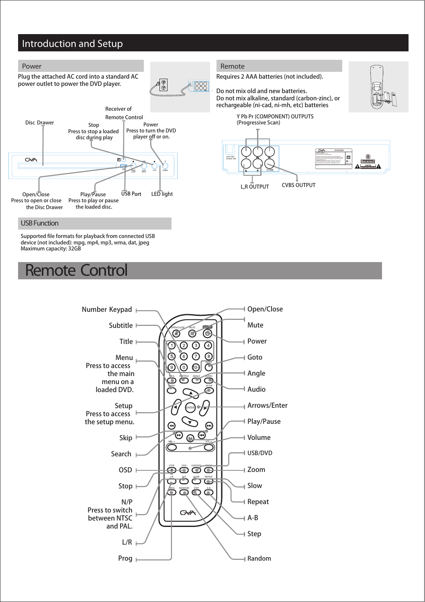### Introduction and Setup



 Supported file formats for playback from connected USB device (not included): mpg, mp4, mp3, wma, dat, jpeg Maximum capacity: 32GB

# Remote Control

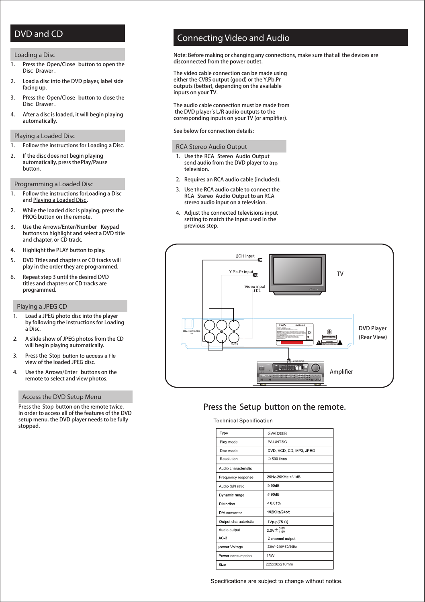### DVD and CD

#### Loading a Disc

- 1. Press the **Open/Close** button to open the **Disc Drawer**.
- 2. Load a disc into the DVD player, label side facing up.
- 3. Press the **Open/Close** button to close the **Disc Drawer**.
- 4. After a disc is loaded, it will begin playing automatically.

#### Playing a Loaded Disc

- 1. Follow the instructions for Loading a Disc.
- 2. If the disc does not begin playing automatically, press the **Play/Pause** button.

Programming a Loaded Disc

- 1. Follow the instructions for Loading a Disc and Playing a Loaded Disc .
- 2. While the loaded disc is playing, press the PROG button on the remote.
- 3. Use the **Arrows/Enter/Number Keypad** buttons to highlight and select a DVD title and chapter, or CD track.
- 4. Highlight the PLAY button to play.
- 5. DVD Titles and chapters or CD tracks will play in the order they are programmed.
- 6. Repeat step 3 until the desired DVD titles and chapters or CD tracks are programmed.

#### Playing a JPEG CD

- 1. Load a JPEG photo disc into the player by following the instructions for Loading a Disc.
- $\overline{2}$ A slide show of JPEG photos from the CD will begin playing automatically.
- 3. Press the Stop button to access a file view of the loaded JPEG disc.
- 4. Use the **Arrows/Enter** buttons on the remote to select and view photos.

#### Access the DVD Setup Menu

Press the **Stop** button on the remote twice. In order to access all of the features of the DVD setup menu, the DVD player needs to be fully stopped.

### Connecting Video and Audio

*Note: Before making or changing any connections, make sure that all the devices are disconnected from the power outlet.*

The video cable connection can be made using either the CVBS output (good) or the Y,Pb,Pr outputs (better), depending on the available inputs on your TV.

The audio cable connection must be made from the DVD player's L/R audio outputs to the corresponding inputs on your TV (or amplifier).

See below for connection details:

#### RCA Stereo Audio Output

- 1. Use the **RCA Stereo Audio Output** send audio from the DVD player to ato television.
- 2. Requires an RCA audio cable (included).
- 3. Use the RCA audio cable to connect the **RCA Stereo Audio Output** to an RCA stereo audio input on a television.
- 4. Adjust the connected televisions input setting to match the input used in the previous step.



#### Press the **Setup** button on the remote.

#### **Technical Specification**

| Type                  | GVAD200B                      |
|-----------------------|-------------------------------|
| Play mode             | PAL/NTSC                      |
| Disc mode             | DVD, VCD, CD, MP3, JPEG       |
| Resolution            | $\geq$ 500 lines              |
| Audio characteristic  |                               |
| Frequency response    | 20Hz-20KHz:+/-1dB             |
| Audio S/N ratio       | $\geq$ 90dB                   |
| Dynamic range         | $\geq$ 90dB                   |
| Distortion            | < 0.01%                       |
| D/A converter         | 192KHz/24hit                  |
| Output characteristic | $1 \vee p \cdot p(75 \Omega)$ |
| Audio output          | 2.0V $\pm^{0.0V}_{1.0V}$      |
| $AC-3$                | 2 channel output              |
| Power Voltage         | 220V~240V-50/60Hz             |
| Power consumption     | <b>15W</b>                    |
| Size                  | 225x38x210mm                  |

Specifications are subject to change without notice.